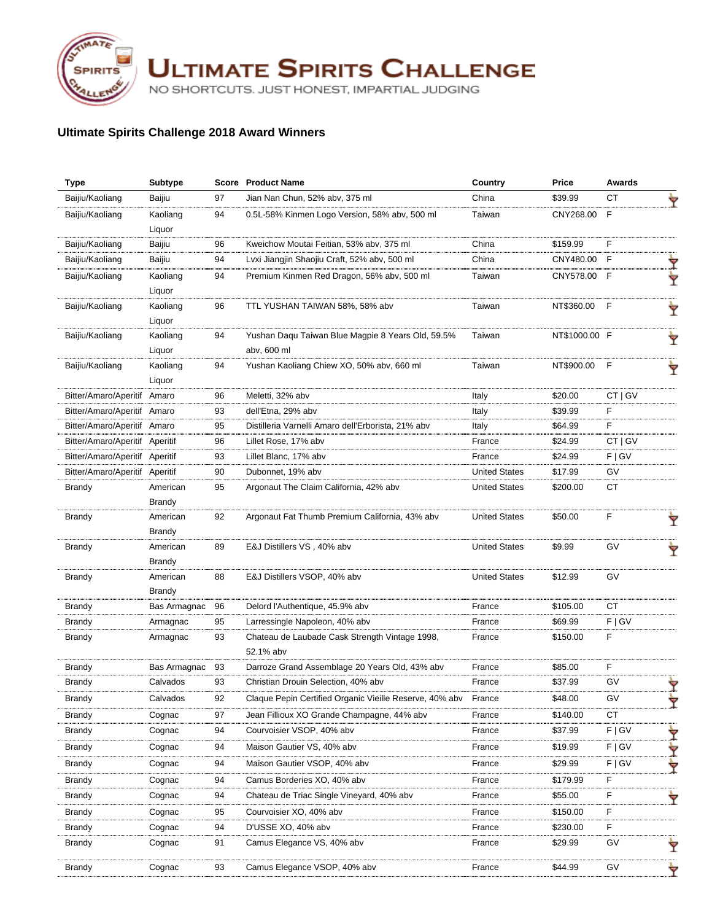

**ULTIMATE SPIRITS CHALLENGE** 

NO SHORTCUTS. JUST HONEST, IMPARTIAL JUDGING

## **Ultimate Spirits Challenge 2018 Award Winners**

| <b>Type</b>                    | <b>Subtype</b>  |    | <b>Score</b> Product Name                               | Country              | Price         | Awards    |   |
|--------------------------------|-----------------|----|---------------------------------------------------------|----------------------|---------------|-----------|---|
| Baijiu/Kaoliang                | Baijiu          | 97 | Jian Nan Chun, 52% abv, 375 ml                          | China                | \$39.99       | СT        |   |
| Baijiu/Kaoliang                | Kaoliang        | 94 | 0.5L-58% Kinmen Logo Version, 58% abv, 500 ml           | Taiwan               | CNY268.00 F   |           |   |
|                                | Liquor          |    |                                                         |                      |               |           |   |
| Baijiu/Kaoliang                | Baijiu          | 96 | Kweichow Moutai Feitian, 53% abv, 375 ml                | China                | \$159.99      | E         |   |
| Baijiu/Kaoliang                | Baijiu          | 94 | Lvxi Jiangjin Shaojiu Craft, 52% abv, 500 ml            | China                | CNY480.00     | F         |   |
| Baijiu/Kaoliang                | Kaoliang        | 94 | Premium Kinmen Red Dragon, 56% aby, 500 ml              | Taiwan               | CNY578.00 F   |           |   |
|                                | Liquor          |    |                                                         |                      |               |           |   |
| Baijiu/Kaoliang                | Kaoliang        | 96 | TTL YUSHAN TAIWAN 58%, 58% abv                          | Taiwan               | NT\$360.00    | F         | Ÿ |
|                                | Liquor          |    |                                                         |                      |               |           |   |
| Baijiu/Kaoliang                | Kaoliang        | 94 | Yushan Daqu Taiwan Blue Magpie 8 Years Old, 59.5%       | Taiwan               | NT\$1000.00 F |           | Ÿ |
|                                | Liquor          |    | abv, 600 ml                                             |                      |               |           |   |
| Baijiu/Kaoliang                | Kaoliang        | 94 | Yushan Kaoliang Chiew XO, 50% abv, 660 ml               | Taiwan               | NT\$900.00 F  |           |   |
|                                | Liquor          |    |                                                         |                      |               |           |   |
| Bitter/Amaro/Aperitif Amaro    |                 | 96 | Meletti, 32% abv                                        | Italy                | \$20.00       | CT   GV   |   |
| Bitter/Amaro/Aperitif Amaro    |                 | 93 | dell'Etna, 29% abv                                      | Italy                | \$39.99       | F         |   |
| Bitter/Amaro/Aperitif Amaro    |                 | 95 | Distilleria Varnelli Amaro dell'Erborista, 21% abv      | Italy                | \$64.99       | F         |   |
| Bitter/Amaro/Aperitif Aperitif |                 | 96 | Lillet Rose, 17% abv                                    | France               | \$24.99       | CT   GV   |   |
| Bitter/Amaro/Aperitif Aperitif |                 | 93 | Lillet Blanc, 17% abv                                   | France               | \$24.99       | F   G V   |   |
| Bitter/Amaro/Aperitif Aperitif |                 | 90 | Dubonnet, 19% abv                                       | <b>United States</b> | \$17.99       | GV        |   |
| <b>Brandy</b>                  | American        | 95 | Argonaut The Claim California, 42% abv                  | <b>United States</b> | \$200.00      | CT        |   |
|                                | Brandy          |    |                                                         |                      |               |           |   |
| <b>Brandy</b>                  | American        | 92 | Argonaut Fat Thumb Premium California, 43% abv          | <b>United States</b> | \$50.00       | E         |   |
|                                | Brandy          |    |                                                         |                      |               |           |   |
| <b>Brandy</b>                  | American        | 89 | E&J Distillers VS, 40% abv                              | <b>United States</b> | \$9.99        | GV        |   |
|                                | Brandy          |    |                                                         |                      |               |           |   |
| <b>Brandy</b>                  | American        | 88 | E&J Distillers VSOP, 40% abv                            | <b>United States</b> | \$12.99       | GV        |   |
|                                | Brandy          |    |                                                         |                      |               |           |   |
| Brandy                         | Bas Armagnac    | 96 | Delord l'Authentique, 45.9% abv                         | France               | \$105.00      | CT        |   |
| <b>Brandy</b>                  | Armagnac        | 95 | Larressingle Napoleon, 40% abv                          | France               | \$69.99       | F   G V   |   |
| <b>Brandy</b>                  | Armagnac        | 93 | Chateau de Laubade Cask Strength Vintage 1998,          | France               | \$150.00      | F         |   |
|                                |                 |    | 52.1% abv                                               |                      |               |           |   |
| Brandy                         | Bas Armagnac 93 |    | Darroze Grand Assemblage 20 Years Old, 43% abv          | France               | \$85.00       | F         |   |
| Brandy                         | Calvados        | 93 | Christian Drouin Selection, 40% abv                     | France               | \$37.99       | GV        |   |
| Brandy                         | Calvados        | 92 | Claque Pepin Certified Organic Vieille Reserve, 40% abv | France               | \$48.00       | G۷        |   |
| Brandy                         | Cognac          | 97 | Jean Fillioux XO Grande Champagne, 44% abv              | France               | \$140.00      | <b>CT</b> |   |
| Brandy                         | Cognac          | 94 | Courvoisier VSOP, 40% abv                               | France               | \$37.99       | F   G V   |   |
| Brandy                         | Cognac          | 94 | Maison Gautier VS, 40% abv                              | France               | \$19.99       | F   G V   |   |
| Brandy                         | Cognac          | 94 | Maison Gautier VSOP, 40% abv                            | France               | \$29.99       | F   G V   |   |
| <b>Brandy</b>                  | Cognac          | 94 | Camus Borderies XO, 40% abv                             | France               | \$179.99      | F         |   |
| Brandy                         | Cognac          | 94 | Chateau de Triac Single Vineyard, 40% abv               | France               | \$55.00       | F         |   |
| Brandy                         | Cognac          | 95 | Courvoisier XO, 40% abv                                 | France               | \$150.00      | F         |   |
| Brandy                         | Cognac          | 94 | D'USSE XO, 40% abv                                      | France               | \$230.00      | F         |   |
| Brandy                         | Cognac          | 91 | Camus Elegance VS, 40% abv                              | France               | \$29.99       | GV        | Ÿ |
| Brandy                         | Cognac          | 93 | Camus Elegance VSOP, 40% abv                            | France               | \$44.99       | GV        | Ÿ |
|                                |                 |    |                                                         |                      |               |           |   |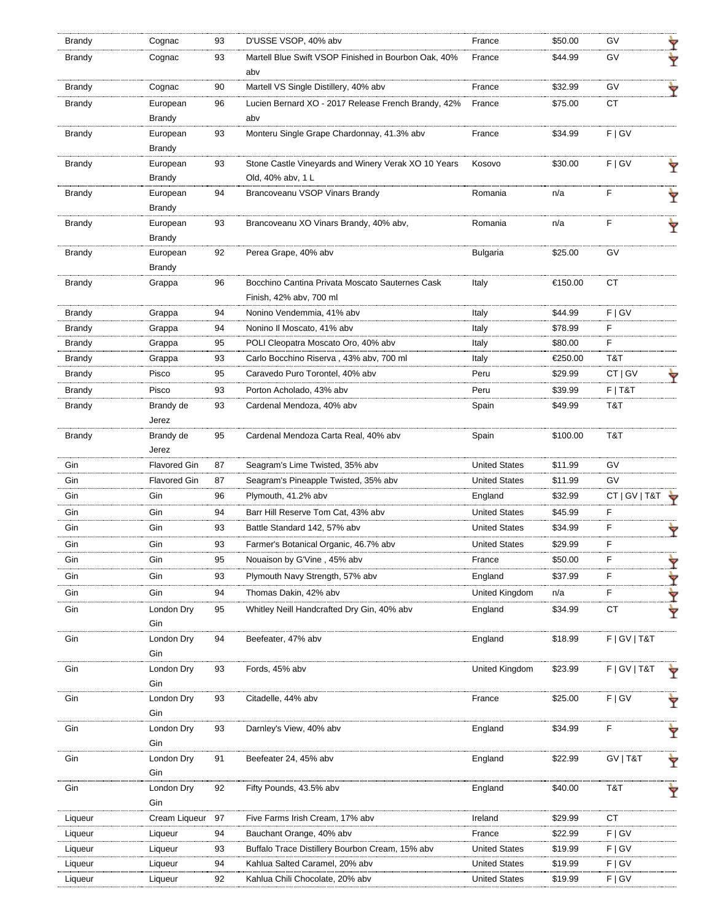| Brandy        | Cognac              | 93 | D'USSE VSOP, 40% abv                                                       | France               | \$50.00  | GV              | Ÿ |
|---------------|---------------------|----|----------------------------------------------------------------------------|----------------------|----------|-----------------|---|
| Brandy        | Cognac              | 93 | Martell Blue Swift VSOP Finished in Bourbon Oak, 40%<br>aby                | France               | \$44.99  | GV              | Y |
| Brandy        | Cognac              | 90 | Martell VS Single Distillery, 40% abv                                      | France               | \$32.99  | GV              | Ÿ |
| <b>Brandy</b> | European<br>Brandy  | 96 | Lucien Bernard XO - 2017 Release French Brandy, 42%<br>abv                 | France               | \$75.00  | СT              |   |
| <b>Brandy</b> | European<br>Brandy  | 93 | Monteru Single Grape Chardonnay, 41.3% abv                                 | France               | \$34.99  | F   G V         |   |
| Brandy        | European<br>Brandy  | 93 | Stone Castle Vineyards and Winery Verak XO 10 Years<br>Old, 40% abv, 1 L   | Kosovo               | \$30.00  | F   G V         | Ŷ |
| Brandy        | European<br>Brandy  | 94 | Brancoveanu VSOP Vinars Brandy                                             | Romania              | n/a      | F               | Ÿ |
| Brandy        | European<br>Brandy  | 93 | Brancoveanu XO Vinars Brandy, 40% abv,                                     | Romania              | n/a      | F               | Ÿ |
| <b>Brandy</b> | European<br>Brandy  | 92 | Perea Grape, 40% abv                                                       | <b>Bulgaria</b>      | \$25.00  | GV              |   |
| <b>Brandy</b> | Grappa              | 96 | Bocchino Cantina Privata Moscato Sauternes Cask<br>Finish, 42% abv, 700 ml | Italy                | €150.00  | СT              |   |
| <b>Brandy</b> | Grappa              | 94 | Nonino Vendemmia, 41% abv                                                  | Italy                | \$44.99  | F   G V         |   |
| Brandy        | Grappa              | 94 | Nonino II Moscato, 41% abv                                                 | Italy                | \$78.99  | F               |   |
| Brandy        | Grappa              | 95 | POLI Cleopatra Moscato Oro, 40% abv                                        | Italy                | \$80.00  | F               |   |
| Brandy        | Grappa              | 93 | Carlo Bocchino Riserva, 43% abv, 700 ml                                    | Italy                | €250.00  | T&T             |   |
| Brandy        | Pisco               | 95 | Caravedo Puro Torontel, 40% abv                                            | Peru                 | \$29.99  | $CT  $ GV       |   |
| Brandy        | Pisco               | 93 | Porton Acholado, 43% abv                                                   | Peru                 | \$39.99  | $F$   T&T       |   |
| Brandy        | Brandy de<br>Jerez  | 93 | Cardenal Mendoza, 40% abv                                                  | Spain                | \$49.99  | T&T             |   |
| <b>Brandy</b> | Brandy de<br>Jerez  | 95 | Cardenal Mendoza Carta Real, 40% abv                                       | Spain                | \$100.00 | T&T             |   |
| Gin           | <b>Flavored Gin</b> | 87 | Seagram's Lime Twisted, 35% abv                                            | <b>United States</b> | \$11.99  | GV              |   |
| Gin           | <b>Flavored Gin</b> | 87 | Seagram's Pineapple Twisted, 35% abv                                       | <b>United States</b> | \$11.99  | GV              |   |
| Gin           | Gin                 | 96 | Plymouth, 41.2% abv                                                        | England              | \$32.99  | CT   GV   T&T   |   |
| Gin           | Gin                 | 94 | Barr Hill Reserve Tom Cat, 43% abv                                         | <b>United States</b> | \$45.99  | F               |   |
| Gin           | Gin                 | 93 | Battle Standard 142, 57% abv                                               | <b>United States</b> | \$34.99  | F               | Ÿ |
| Gin           | Gin                 | 93 | Farmer's Botanical Organic, 46.7% abv                                      | <b>United States</b> | \$29.99  | F               |   |
| Gin           | Gin                 | 95 | Nouaison by G'Vine, 45% abv                                                | France               | \$50.00  | F               | Ÿ |
| Gin           | Gin                 | 93 | Plymouth Navy Strength, 57% abv                                            | England              | \$37.99  | F               | Y |
| Gin           | Gin                 | 94 | Thomas Dakin, 42% abv                                                      | United Kingdom       | n/a      | F               | Y |
| Gin           | London Dry<br>Gin   | 95 | Whitley Neill Handcrafted Dry Gin, 40% abv                                 | England              | \$34.99  | СT              | Y |
| Gin           | London Dry<br>Gin   | 94 | Beefeater, 47% abv                                                         | England              | \$18.99  | F   G V   T & T |   |
| Gin           | London Dry<br>Gin   | 93 | Fords, 45% abv                                                             | United Kingdom       | \$23.99  | F   G V   T & T |   |
| Gin           | London Dry<br>Gin   | 93 | Citadelle, 44% abv                                                         | France               | \$25.00  | F   G V         |   |
| Gin           | London Dry<br>Gin   | 93 | Darnley's View, 40% abv                                                    | England              | \$34.99  | $\mathsf F$     | Ÿ |
| Gin           | London Dry<br>Gin   | 91 | Beefeater 24, 45% abv                                                      | England              | \$22.99  | GV   T&T        |   |
| Gin           | London Dry<br>Gin   | 92 | Fifty Pounds, 43.5% abv                                                    | England              | \$40.00  | T&T             |   |
| Liqueur       | Cream Liqueur       | 97 | Five Farms Irish Cream, 17% abv                                            | Ireland              | \$29.99  | <b>CT</b>       |   |
| Liqueur       | Liqueur             | 94 | Bauchant Orange, 40% abv                                                   | France               | \$22.99  | F   G V         |   |
| Liqueur       | Liqueur             | 93 | Buffalo Trace Distillery Bourbon Cream, 15% abv                            | <b>United States</b> | \$19.99  | F   G V         |   |
| Liqueur       | Liqueur             | 94 | Kahlua Salted Caramel, 20% abv                                             | <b>United States</b> | \$19.99  | F   G V         |   |
| Liqueur       | Liqueur             | 92 | Kahlua Chili Chocolate, 20% abv                                            | <b>United States</b> | \$19.99  | F   G V         |   |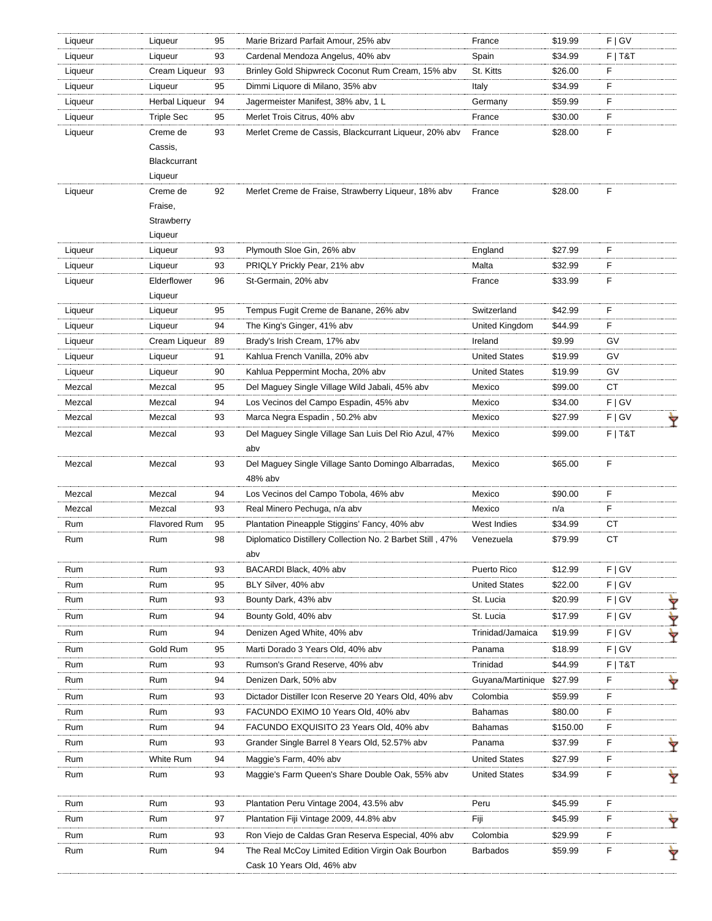| Liqueur | Liqueur               | 95 | Marie Brizard Parfait Amour, 25% abv                      | France               | \$19.99  | F   G V   |   |
|---------|-----------------------|----|-----------------------------------------------------------|----------------------|----------|-----------|---|
| Liqueur | Liqueur               | 93 | Cardenal Mendoza Angelus, 40% abv                         | Spain                | \$34.99  | $F$   T&T |   |
| Liqueur | Cream Liqueur         | 93 | Brinley Gold Shipwreck Coconut Rum Cream, 15% abv         | St. Kitts            | \$26.00  | F         |   |
| Liqueur | Liqueur               | 95 | Dimmi Liquore di Milano, 35% abv                          | Italy                | \$34.99  | E         |   |
| Liqueur | <b>Herbal Liqueur</b> | 94 | Jagermeister Manifest, 38% abv, 1 L                       | Germany              | \$59.99  | F         |   |
| Liqueur | <b>Triple Sec</b>     | 95 | Merlet Trois Citrus, 40% abv                              | France               | \$30.00  | F         |   |
| Liqueur | Creme de              | 93 | Merlet Creme de Cassis, Blackcurrant Liqueur, 20% abv     | France               | \$28.00  | F         |   |
|         | Cassis,               |    |                                                           |                      |          |           |   |
|         | Blackcurrant          |    |                                                           |                      |          |           |   |
|         | Liqueur               |    |                                                           |                      |          |           |   |
| Liqueur | Creme de              | 92 | Merlet Creme de Fraise, Strawberry Liqueur, 18% abv       | France               | \$28.00  | F         |   |
|         | Fraise,               |    |                                                           |                      |          |           |   |
|         | Strawberry            |    |                                                           |                      |          |           |   |
|         | Liqueur               |    |                                                           |                      |          |           |   |
| Liqueur | Liqueur               | 93 | Plymouth Sloe Gin, 26% abv                                | England              | \$27.99  | F.        |   |
| Liqueur | Liqueur               | 93 | PRIQLY Prickly Pear, 21% abv                              | Malta                | \$32.99  | F.        |   |
| Liqueur | Elderflower           | 96 | St-Germain, 20% abv                                       | France               | \$33.99  | F         |   |
|         | Liqueur               |    |                                                           |                      |          |           |   |
| Liqueur | Liqueur               | 95 | Tempus Fugit Creme de Banane, 26% abv                     | Switzerland          | \$42.99  | E         |   |
| Liqueur | Liqueur               | 94 | The King's Ginger, 41% abv                                | United Kingdom       | \$44.99  | F.        |   |
| Liqueur | Cream Liqueur         | 89 | Brady's Irish Cream, 17% abv                              | Ireland              | \$9.99   | GV        |   |
| Liqueur | Liqueur               | 91 | Kahlua French Vanilla, 20% abv                            | <b>United States</b> | \$19.99  | GV        |   |
| Liqueur | Liqueur               | 90 | Kahlua Peppermint Mocha, 20% abv                          | <b>United States</b> | \$19.99  | GV        |   |
| Mezcal  | Mezcal                | 95 | Del Maguey Single Village Wild Jabali, 45% abv            | Mexico               | \$99.00  | CT        |   |
| Mezcal  | Mezcal                | 94 | Los Vecinos del Campo Espadin, 45% abv                    | Mexico               | \$34.00  | F   G V   |   |
| Mezcal  | Mezcal                | 93 | Marca Negra Espadin , 50.2% abv                           | Mexico               | \$27.99  | F   G V   | Ÿ |
| Mezcal  | Mezcal                | 93 | Del Maguey Single Village San Luis Del Rio Azul, 47%      | Mexico               | \$99.00  | F T&T     |   |
|         |                       |    | abv                                                       |                      |          |           |   |
| Mezcal  | Mezcal                | 93 | Del Maguey Single Village Santo Domingo Albarradas,       | Mexico               | \$65.00  | F         |   |
|         |                       |    | 48% abv                                                   |                      |          |           |   |
| Mezcal  | Mezcal                | 94 | Los Vecinos del Campo Tobola, 46% abv                     | Mexico               | \$90.00  | F         |   |
| Mezcal  | Mezcal                | 93 | Real Minero Pechuga, n/a abv                              | Mexico               | n/a      | F.        |   |
| Rum     | <b>Flavored Rum</b>   | 95 | Plantation Pineapple Stiggins' Fancy, 40% abv             | West Indies          | \$34.99  | СT        |   |
| Rum     | Rum                   | 98 | Diplomatico Distillery Collection No. 2 Barbet Still, 47% | Venezuela            | \$79.99  | CT        |   |
|         |                       |    | abv                                                       |                      |          |           |   |
| Rum     | Rum                   | 93 | BACARDI Black, 40% abv                                    | Puerto Rico          | \$12.99  | F   G V   |   |
| Rum     | Rum                   | 95 | BLY Silver, 40% abv                                       | <b>United States</b> | \$22.00  | F   G V   |   |
| Rum     | Rum                   | 93 | Bounty Dark, 43% abv                                      | St. Lucia            | \$20.99  | F   G V   | Y |
| Rum     | Rum                   | 94 | Bounty Gold, 40% abv                                      | St. Lucia            | \$17.99  | F   G V   | Y |
| Rum     | Rum                   | 94 | Denizen Aged White, 40% abv                               | Trinidad/Jamaica     | \$19.99  | F   G V   | Ÿ |
| Rum     | Gold Rum              | 95 | Marti Dorado 3 Years Old, 40% abv                         | Panama               | \$18.99  | F   G V   |   |
| Rum     | Rum                   | 93 | Rumson's Grand Reserve, 40% abv                           | Trinidad             | \$44.99  | $F$   T&T |   |
| Rum     | Rum                   | 94 | Denizen Dark, 50% abv                                     | Guyana/Martinique    | \$27.99  | F         |   |
| Rum     | Rum                   | 93 | Dictador Distiller Icon Reserve 20 Years Old, 40% abv     | Colombia             | \$59.99  | F         |   |
| Rum     | Rum                   | 93 | FACUNDO EXIMO 10 Years Old, 40% abv                       | <b>Bahamas</b>       | \$80.00  | F         |   |
| Rum     | Rum                   | 94 | FACUNDO EXQUISITO 23 Years Old, 40% abv                   | Bahamas              | \$150.00 | F         |   |
| Rum     | Rum                   | 93 | Grander Single Barrel 8 Years Old, 52.57% abv             | Panama               | \$37.99  | F         |   |
| Rum     | White Rum             | 94 | Maggie's Farm, 40% abv                                    | <b>United States</b> | \$27.99  | F         |   |
| Rum     | Rum                   | 93 | Maggie's Farm Queen's Share Double Oak, 55% abv           | <b>United States</b> | \$34.99  | F.        |   |
|         |                       |    |                                                           |                      |          |           | Ÿ |
| Rum     | Rum                   | 93 | Plantation Peru Vintage 2004, 43.5% abv                   | Peru                 | \$45.99  | F.        |   |
| Rum     | Rum                   | 97 | Plantation Fiji Vintage 2009, 44.8% abv                   | Fiji                 | \$45.99  | F.        |   |
| Rum     | Rum                   | 93 | Ron Viejo de Caldas Gran Reserva Especial, 40% abv        | Colombia             | \$29.99  | F         |   |
| Rum     | Rum                   | 94 | The Real McCoy Limited Edition Virgin Oak Bourbon         | <b>Barbados</b>      | \$59.99  | F         |   |
|         |                       |    | Cask 10 Years Old, 46% abv                                |                      |          |           | Ŷ |
|         |                       |    |                                                           |                      |          |           |   |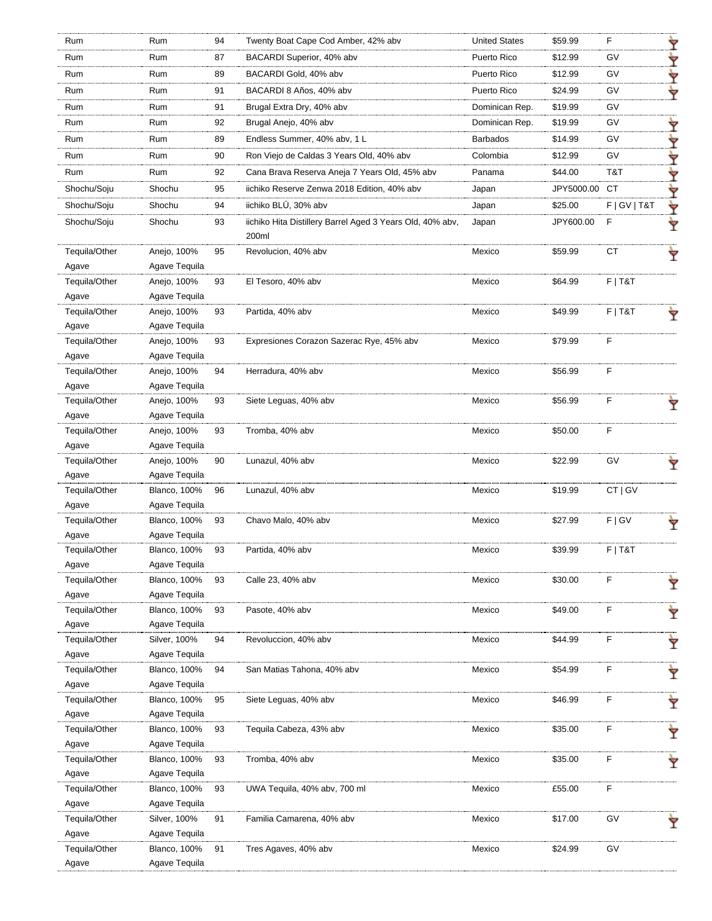| Rum                    | Rum                          | 94 | Twenty Boat Cape Cod Amber, 42% abv                       | <b>United States</b> | \$59.99       | F               | Ÿ |
|------------------------|------------------------------|----|-----------------------------------------------------------|----------------------|---------------|-----------------|---|
| Rum                    | Rum                          | 87 | BACARDI Superior, 40% abv                                 | Puerto Rico          | \$12.99       | GV              | Y |
| Rum                    | Rum                          | 89 | BACARDI Gold, 40% abv                                     | Puerto Rico          | \$12.99       | GV              | Y |
| Rum                    | Rum                          | 91 | BACARDI 8 Años, 40% abv                                   | Puerto Rico          | \$24.99       | GV              | ₩ |
| Rum                    | Rum                          | 91 | Brugal Extra Dry, 40% abv                                 | Dominican Rep.       | \$19.99       | GV              |   |
| Rum                    | Rum                          | 92 | Brugal Anejo, 40% abv                                     | Dominican Rep.       | \$19.99       | GV              | Ÿ |
| Rum                    | Rum                          | 89 | Endless Summer, 40% abv, 1 L                              | Barbados             | \$14.99       | GV              | ∀ |
| Rum                    | Rum                          | 90 | Ron Viejo de Caldas 3 Years Old, 40% abv                  | Colombia             | \$12.99       | GV              |   |
|                        |                              |    |                                                           |                      |               |                 | ▼ |
| Rum                    | Rum                          | 92 | Cana Brava Reserva Aneja 7 Years Old, 45% abv             | Panama               | \$44.00       | T&T             | Y |
| Shochu/Soju            | Shochu                       | 95 | iichiko Reserve Zenwa 2018 Edition, 40% abv               | Japan                | JPY5000.00 CT |                 | ∀ |
| Shochu/Soju            | Shochu                       | 94 | iichiko BLŪ, 30% abv                                      | Japan                | \$25.00       | F   G V   T & T | ₩ |
| Shochu/Soju            | Shochu                       | 93 | iichiko Hita Distillery Barrel Aged 3 Years Old, 40% abv, | Japan                | JPY600.00     | F               | Ŷ |
|                        |                              |    | 200ml                                                     |                      |               |                 |   |
| Tequila/Other          | Anejo, 100%                  | 95 | Revolucion, 40% abv                                       | Mexico               | \$59.99       | CT              |   |
| Agave                  | Agave Tequila                |    |                                                           |                      |               |                 |   |
| Tequila/Other          | Anejo, 100%                  | 93 | El Tesoro, 40% abv                                        | Mexico               | \$64.99       | $F$   T&T       |   |
| Agave                  | Agave Tequila                |    |                                                           |                      |               |                 |   |
| Tequila/Other          | Anejo, 100%                  | 93 | Partida, 40% abv                                          | Mexico               | \$49.99       | $F$   T&T       |   |
| Agave                  | Agave Tequila                |    |                                                           |                      |               |                 |   |
| Tequila/Other          | Anejo, 100%                  | 93 | Expresiones Corazon Sazerac Rye, 45% abv                  | Mexico               | \$79.99       | F               |   |
| Agave                  | Agave Tequila                |    |                                                           |                      |               |                 |   |
| Tequila/Other          | Anejo, 100%                  | 94 | Herradura, 40% abv                                        | Mexico               | \$56.99       | F               |   |
| Agave                  | Agave Tequila                |    |                                                           |                      |               |                 |   |
| Tequila/Other          | Anejo, 100%                  | 93 | Siete Leguas, 40% abv                                     | Mexico               | \$56.99       | F               |   |
| Agave                  | Agave Tequila                |    |                                                           |                      |               |                 |   |
| Tequila/Other          | Anejo, 100%                  | 93 | Tromba, 40% abv                                           | Mexico               | \$50.00       | F               |   |
| Agave<br>Tequila/Other | Agave Tequila                | 90 |                                                           |                      | \$22.99       | GV              |   |
|                        | Anejo, 100%<br>Agave Tequila |    | Lunazul, 40% abv                                          | Mexico               |               |                 |   |
| Agave<br>Tequila/Other | <b>Blanco, 100%</b>          | 96 | Lunazul, 40% abv                                          | Mexico               | \$19.99       | CT   GV         |   |
| Agave                  | Agave Tequila                |    |                                                           |                      |               |                 |   |
| Tequila/Other          | <b>Blanco, 100%</b>          | 93 | Chavo Malo, 40% abv                                       | Mexico               | \$27.99       | F   G V         |   |
| Agave                  | Agave Tequila                |    |                                                           |                      |               |                 |   |
| Tequila/Other          | <b>Blanco, 100%</b>          | 93 | Partida, 40% abv                                          | Mexico               | \$39.99       | $F$   T&T       |   |
| Agave                  | Agave Tequila                |    |                                                           |                      |               |                 |   |
| Tequila/Other          | <b>Blanco, 100%</b>          | 93 | Calle 23, 40% abv                                         | Mexico               | \$30.00       | F               | Ŷ |
| Agave                  | Agave Tequila                |    |                                                           |                      |               |                 |   |
| Tequila/Other          | <b>Blanco, 100%</b>          | 93 | Pasote, 40% abv                                           | Mexico               | \$49.00       | F               |   |
| Agave                  | Agave Tequila                |    |                                                           |                      |               |                 |   |
| Tequila/Other          | Silver, 100%                 | 94 | Revoluccion, 40% abv                                      | Mexico               | \$44.99       | F               | Ŷ |
| Agave                  | Agave Tequila                |    |                                                           |                      |               |                 |   |
| Tequila/Other          | <b>Blanco, 100%</b>          | 94 | San Matias Tahona, 40% abv                                | Mexico               | \$54.99       | F               | Ÿ |
| Agave                  | Agave Tequila                |    |                                                           |                      |               |                 |   |
| Tequila/Other          | <b>Blanco, 100%</b>          | 95 | Siete Leguas, 40% abv                                     | Mexico               | \$46.99       | F               | Ÿ |
| Agave                  | Agave Tequila                |    |                                                           |                      |               |                 |   |
| Tequila/Other          | <b>Blanco, 100%</b>          | 93 | Tequila Cabeza, 43% abv                                   | Mexico               | \$35.00       | F               | Ÿ |
| Agave                  | Agave Tequila                |    |                                                           |                      |               |                 |   |
| Tequila/Other          | <b>Blanco, 100%</b>          | 93 | Tromba, 40% abv                                           | Mexico               | \$35.00       | F               | Ÿ |
| Agave                  | Agave Tequila                |    |                                                           |                      |               |                 |   |
| Tequila/Other          | <b>Blanco, 100%</b>          | 93 | UWA Tequila, 40% abv, 700 ml                              | Mexico               | £55.00        | F               |   |
| Agave                  | Agave Tequila                |    |                                                           |                      |               |                 |   |
| Tequila/Other          | Silver, 100%                 | 91 | Familia Camarena, 40% abv                                 | Mexico               | \$17.00       | GV              |   |
| Agave                  | Agave Tequila                |    |                                                           |                      |               |                 |   |
| Tequila/Other          | <b>Blanco, 100%</b>          | 91 | Tres Agaves, 40% abv                                      | Mexico               | \$24.99       | GV              |   |
| Agave                  | Agave Tequila                |    |                                                           |                      |               |                 |   |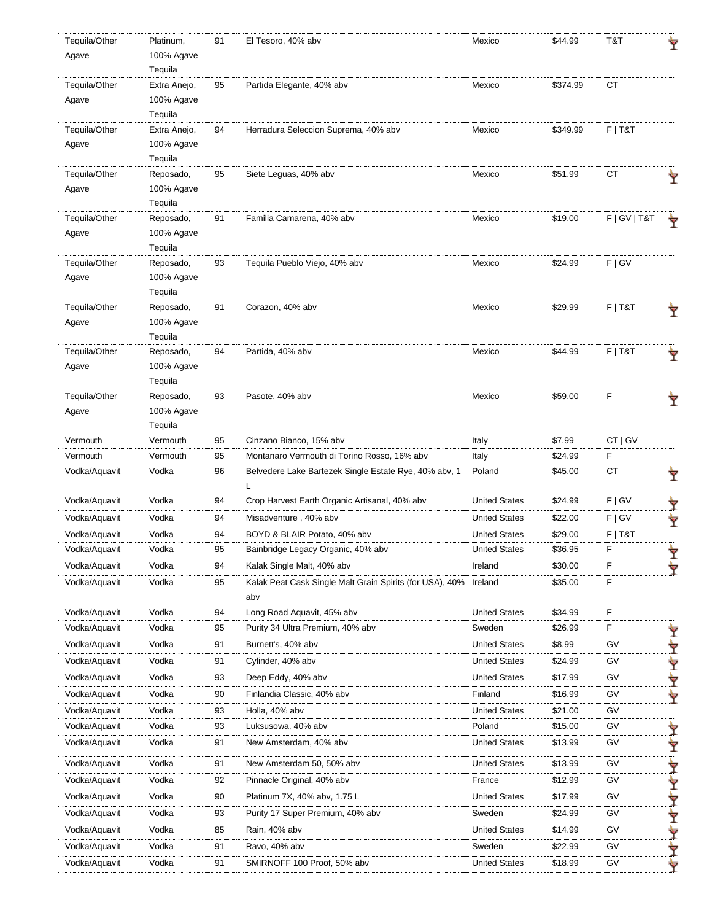| Tequila/Other | Platinum,            | 91 | El Tesoro, 40% abv                                       | Mexico               | \$44.99  | T&T             |   |
|---------------|----------------------|----|----------------------------------------------------------|----------------------|----------|-----------------|---|
| Agave         | 100% Agave           |    |                                                          |                      |          |                 |   |
|               | Tequila              |    |                                                          |                      |          |                 |   |
| Tequila/Other | Extra Anejo,         | 95 | Partida Elegante, 40% abv                                | Mexico               | \$374.99 | CT              |   |
| Agave         | 100% Agave           |    |                                                          |                      |          |                 |   |
|               | Tequila              |    |                                                          |                      |          |                 |   |
| Tequila/Other | Extra Anejo,         | 94 | Herradura Seleccion Suprema, 40% abv                     | Mexico               | \$349.99 | $F$   T&T       |   |
| Agave         | 100% Agave           |    |                                                          |                      |          |                 |   |
|               | Tequila              |    |                                                          |                      |          |                 |   |
| Tequila/Other | Reposado,            | 95 | Siete Leguas, 40% abv                                    | Mexico               | \$51.99  | CT              |   |
| Agave         | 100% Agave           |    |                                                          |                      |          |                 |   |
| Tequila/Other | Tequila<br>Reposado, | 91 | Familia Camarena, 40% abv                                | Mexico               | \$19.00  | F   G V   T & T |   |
| Agave         | 100% Agave           |    |                                                          |                      |          |                 |   |
|               | Tequila              |    |                                                          |                      |          |                 |   |
| Tequila/Other | Reposado,            | 93 | Tequila Pueblo Viejo, 40% abv                            | Mexico               | \$24.99  | F   G V         |   |
| Agave         | 100% Agave           |    |                                                          |                      |          |                 |   |
|               | Tequila              |    |                                                          |                      |          |                 |   |
| Tequila/Other | Reposado,            | 91 | Corazon, 40% abv                                         | Mexico               | \$29.99  | $F$   T&T       |   |
| Agave         | 100% Agave           |    |                                                          |                      |          |                 |   |
|               | Tequila              |    |                                                          |                      |          |                 |   |
| Tequila/Other | Reposado,            | 94 | Partida, 40% abv                                         | Mexico               | \$44.99  | $F$   T&T       |   |
| Agave         | 100% Agave           |    |                                                          |                      |          |                 |   |
|               | Tequila              |    |                                                          |                      |          |                 |   |
| Tequila/Other | Reposado,            | 93 | Pasote, 40% abv                                          | Mexico               | \$59.00  | F               |   |
| Agave         | 100% Agave           |    |                                                          |                      |          |                 |   |
|               | Tequila              |    |                                                          |                      |          |                 |   |
| Vermouth      | Vermouth             | 95 | Cinzano Bianco, 15% abv                                  | Italy                | \$7.99   | CT   GV         |   |
| Vermouth      | Vermouth             | 95 | Montanaro Vermouth di Torino Rosso, 16% abv              | Italy                | \$24.99  | $\mathsf F$     |   |
| Vodka/Aquavit | Vodka                | 96 | Belvedere Lake Bartezek Single Estate Rye, 40% abv, 1    | Poland               | \$45.00  | CT              | Y |
| Vodka/Aquavit | Vodka                | 94 | Crop Harvest Earth Organic Artisanal, 40% abv            | <b>United States</b> | \$24.99  | F   G V         |   |
| Vodka/Aquavit | Vodka                | 94 | Misadventure, 40% abv                                    | <b>United States</b> | \$22.00  | F   G V         | ₩ |
| Vodka/Aquavit | Vodka                | 94 | BOYD & BLAIR Potato, 40% abv                             | <b>United States</b> | \$29.00  | $F$   T&T       |   |
| Vodka/Aquavit | Vodka                | 95 | Bainbridge Legacy Organic, 40% abv                       | <b>United States</b> | \$36.95  | F               | ▼ |
| Vodka/Aquavit | Vodka                | 94 | Kalak Single Malt, 40% abv                               | Ireland              | \$30.00  | F               | ₩ |
| Vodka/Aquavit | Vodka                | 95 | Kalak Peat Cask Single Malt Grain Spirits (for USA), 40% | Ireland              | \$35.00  | F               |   |
|               |                      |    | abv                                                      |                      |          |                 |   |
| Vodka/Aquavit | Vodka                | 94 | Long Road Aquavit, 45% abv                               | <b>United States</b> | \$34.99  | F               |   |
| Vodka/Aquavit | Vodka                | 95 | Purity 34 Ultra Premium, 40% abv                         | Sweden               | \$26.99  | F               | Ÿ |
| Vodka/Aquavit | Vodka                | 91 | Burnett's, 40% abv                                       | <b>United States</b> | \$8.99   | GV              | ₩ |
| Vodka/Aquavit | Vodka                | 91 | Cylinder, 40% abv                                        | <b>United States</b> | \$24.99  | GV              |   |
| Vodka/Aquavit | Vodka                | 93 | Deep Eddy, 40% abv                                       | <b>United States</b> | \$17.99  | <b>GV</b>       | Y |
| Vodka/Aquavit | Vodka                | 90 | Finlandia Classic, 40% abv                               | Finland              | \$16.99  | GV              | ₩ |
| Vodka/Aquavit | Vodka                | 93 | Holla, 40% abv                                           | <b>United States</b> | \$21.00  | GV              |   |
| Vodka/Aquavit | Vodka                | 93 | Luksusowa, 40% abv                                       | Poland               | \$15.00  | GV              | Ÿ |
| Vodka/Aquavit | Vodka                | 91 | New Amsterdam, 40% abv                                   | <b>United States</b> | \$13.99  | GV              |   |
|               |                      |    |                                                          |                      |          |                 | Y |
| Vodka/Aquavit | Vodka                | 91 | New Amsterdam 50, 50% abv                                | <b>United States</b> | \$13.99  | GV              | Y |
| Vodka/Aquavit | Vodka                | 92 | Pinnacle Original, 40% abv                               | France               | \$12.99  | GV              | Ÿ |
| Vodka/Aquavit | Vodka                | 90 | Platinum 7X, 40% abv, 1.75 L                             | <b>United States</b> | \$17.99  | GV              | ₩ |
| Vodka/Aquavit | Vodka                | 93 | Purity 17 Super Premium, 40% abv                         | Sweden               | \$24.99  | GV              | Y |
| Vodka/Aquavit | Vodka                | 85 | Rain, 40% abv                                            | <b>United States</b> | \$14.99  | GV              | Y |
| Vodka/Aquavit | Vodka                | 91 | Ravo, 40% abv                                            | Sweden               | \$22.99  | GV              | Y |
| Vodka/Aquavit | Vodka                | 91 | SMIRNOFF 100 Proof, 50% abv                              | <b>United States</b> | \$18.99  | GV              | ₩ |
|               |                      |    |                                                          |                      |          |                 |   |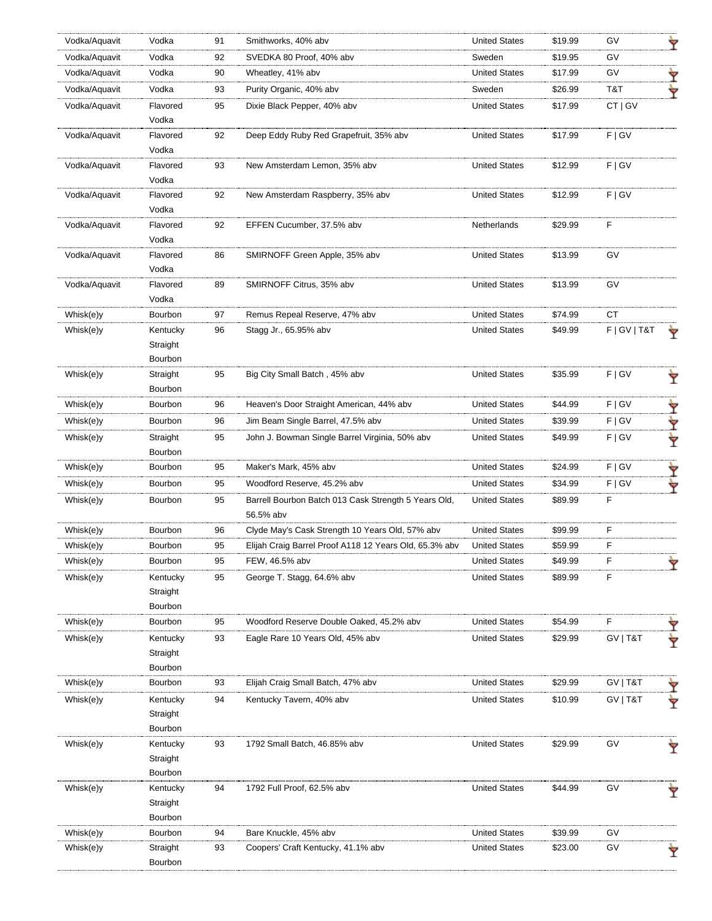| Vodka/Aquavit | Vodka               | 91 | Smithworks, 40% abv                                    | <b>United States</b> | \$19.99 | G٧              | Ÿ |
|---------------|---------------------|----|--------------------------------------------------------|----------------------|---------|-----------------|---|
| Vodka/Aquavit | Vodka               | 92 | SVEDKA 80 Proof, 40% abv                               | Sweden               | \$19.95 | GV              |   |
| Vodka/Aquavit | Vodka               | 90 | Wheatley, 41% abv                                      | <b>United States</b> | \$17.99 | GV              | Ì |
| Vodka/Aquavit | Vodka               | 93 | Purity Organic, 40% abv                                | Sweden               | \$26.99 | T&T             | Ÿ |
| Vodka/Aquavit | Flavored            | 95 | Dixie Black Pepper, 40% abv                            | <b>United States</b> | \$17.99 | CT   GV         |   |
|               | Vodka               |    |                                                        |                      |         |                 |   |
| Vodka/Aquavit | Flavored            | 92 | Deep Eddy Ruby Red Grapefruit, 35% abv                 | <b>United States</b> | \$17.99 | F   G V         |   |
|               | Vodka               |    |                                                        |                      |         |                 |   |
| Vodka/Aquavit | Flavored            | 93 | New Amsterdam Lemon, 35% abv                           | <b>United States</b> | \$12.99 | F   G V         |   |
|               | Vodka               |    |                                                        |                      |         |                 |   |
| Vodka/Aquavit | Flavored            | 92 | New Amsterdam Raspberry, 35% abv                       | <b>United States</b> | \$12.99 | F   G V         |   |
|               | Vodka               |    |                                                        |                      |         |                 |   |
| Vodka/Aquavit | Flavored            | 92 | EFFEN Cucumber, 37.5% abv                              | Netherlands          | \$29.99 | F               |   |
|               | Vodka               |    |                                                        |                      |         |                 |   |
| Vodka/Aquavit | Flavored            | 86 | SMIRNOFF Green Apple, 35% abv                          | <b>United States</b> | \$13.99 | GV              |   |
|               | Vodka               |    |                                                        |                      |         |                 |   |
| Vodka/Aquavit | Flavored            | 89 | SMIRNOFF Citrus, 35% abv                               | <b>United States</b> | \$13.99 | GV              |   |
|               | Vodka               |    |                                                        |                      |         |                 |   |
| Whisk(e)y     | Bourbon             | 97 | Remus Repeal Reserve, 47% abv                          | <b>United States</b> | \$74.99 | СT              |   |
| Whisk(e)y     | Kentucky            | 96 | Stagg Jr., 65.95% abv                                  | <b>United States</b> | \$49.99 | F   G V   T & T |   |
|               | Straight<br>Bourbon |    |                                                        |                      |         |                 |   |
| Whisk(e)y     | Straight            | 95 | Big City Small Batch, 45% abv                          | <b>United States</b> | \$35.99 | F   G V         |   |
|               | Bourbon             |    |                                                        |                      |         |                 | Ÿ |
| Whisk(e)y     | Bourbon             | 96 | Heaven's Door Straight American, 44% abv               | <b>United States</b> | \$44.99 | F   G V         | Ÿ |
| Whisk(e)y     | Bourbon             | 96 | Jim Beam Single Barrel, 47.5% abv                      | <b>United States</b> | \$39.99 | F   G V         | ₱ |
| Whisk(e)y     | Straight            | 95 | John J. Bowman Single Barrel Virginia, 50% abv         | <b>United States</b> | \$49.99 | F   G V         |   |
|               | Bourbon             |    |                                                        |                      |         |                 | Ý |
| Whisk(e)y     | Bourbon             | 95 | Maker's Mark, 45% abv                                  | <b>United States</b> | \$24.99 | F   G V         | ₱ |
| Whisk(e)y     | Bourbon             | 95 | Woodford Reserve, 45.2% abv                            | <b>United States</b> | \$34.99 | F   G V         |   |
| Whisk(e)y     | Bourbon             | 95 | Barrell Bourbon Batch 013 Cask Strength 5 Years Old,   | <b>United States</b> | \$89.99 | F               |   |
|               |                     |    | 56.5% abv                                              |                      |         |                 |   |
| Whisk(e)y     | Bourbon             | 96 | Clyde May's Cask Strength 10 Years Old, 57% abv        | <b>United States</b> | \$99.99 | F               |   |
| Whisk(e)y     | Bourbon             | 95 | Elijah Craig Barrel Proof A118 12 Years Old, 65.3% abv | <b>United States</b> | \$59.99 | F               |   |
| Whisk(e)y     | Bourbon             | 95 | FEW, 46.5% abv                                         | <b>United States</b> | \$49.99 | F               |   |
| Whisk(e)y     | Kentucky            | 95 | George T. Stagg, 64.6% abv                             | <b>United States</b> | \$89.99 | F               |   |
|               | Straight            |    |                                                        |                      |         |                 |   |
|               | Bourbon             |    |                                                        |                      |         |                 |   |
| Whisk(e)y     | Bourbon             | 95 | Woodford Reserve Double Oaked, 45.2% abv               | <b>United States</b> | \$54.99 | F               |   |
| Whisk(e)y     | Kentucky            | 93 | Eagle Rare 10 Years Old, 45% abv                       | <b>United States</b> | \$29.99 | GV   T&T        |   |
|               | Straight            |    |                                                        |                      |         |                 |   |
|               | Bourbon             |    |                                                        |                      |         |                 |   |
| Whisk(e)y     | Bourbon             | 93 | Elijah Craig Small Batch, 47% abv                      | <b>United States</b> | \$29.99 | GV   T&T        |   |
| Whisk(e)y     | Kentucky            | 94 | Kentucky Tavern, 40% abv                               | <b>United States</b> | \$10.99 | GV   T&T        |   |
|               | Straight            |    |                                                        |                      |         |                 |   |
|               | Bourbon             |    |                                                        |                      |         |                 |   |
| Whisk(e)y     | Kentucky            | 93 | 1792 Small Batch, 46.85% abv                           | <b>United States</b> | \$29.99 | GV              |   |
|               | Straight            |    |                                                        |                      |         |                 |   |
|               | Bourbon             |    |                                                        |                      |         |                 |   |
| Whisk(e)y     | Kentucky            | 94 | 1792 Full Proof, 62.5% abv                             | <b>United States</b> | \$44.99 | GV              |   |
|               | Straight            |    |                                                        |                      |         |                 |   |
|               | Bourbon             |    |                                                        |                      |         |                 |   |
| Whisk(e)y     | Bourbon             | 94 | Bare Knuckle, 45% abv                                  | <b>United States</b> | \$39.99 | GV              |   |
| Whisk(e)y     | Straight            | 93 | Coopers' Craft Kentucky, 41.1% abv                     | <b>United States</b> | \$23.00 | GV              | Y |
|               | Bourbon             |    |                                                        |                      |         |                 |   |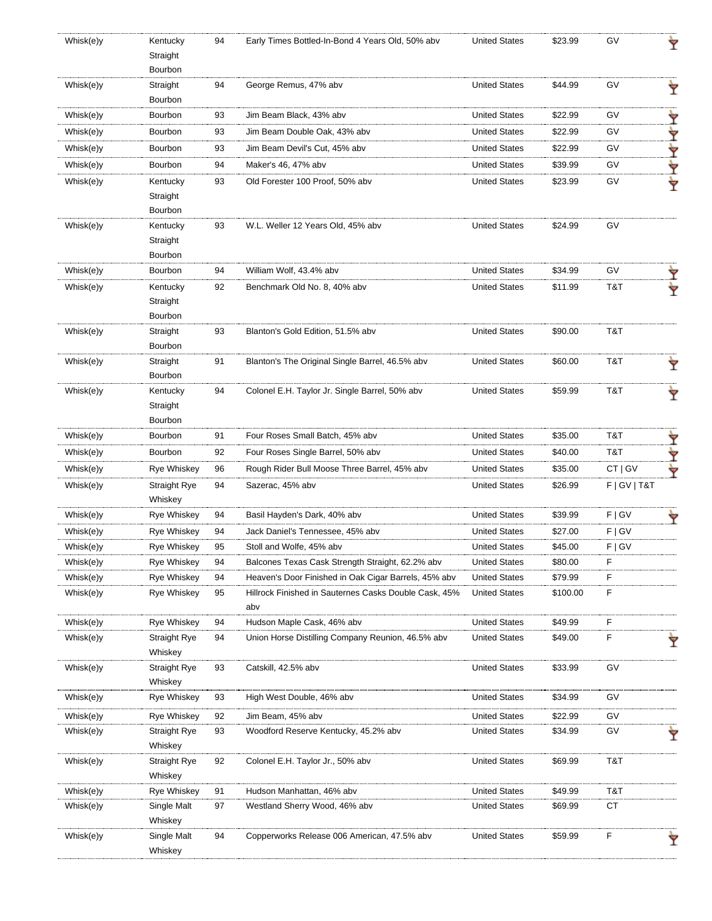| Whisk(e)y | Kentucky<br>Straight            | 94 | Early Times Bottled-In-Bond 4 Years Old, 50% abv             | <b>United States</b> | \$23.99  | G٧              |   |
|-----------|---------------------------------|----|--------------------------------------------------------------|----------------------|----------|-----------------|---|
|           | Bourbon                         |    |                                                              |                      |          |                 |   |
| Whisk(e)y | Straight<br>Bourbon             | 94 | George Remus, 47% abv                                        | <b>United States</b> | \$44.99  | GV              |   |
| Whisk(e)y | Bourbon                         | 93 | Jim Beam Black, 43% abv                                      | <b>United States</b> | \$22.99  | GV              |   |
| Whisk(e)y | Bourbon                         | 93 | Jim Beam Double Oak, 43% abv                                 | <b>United States</b> | \$22.99  | GV              |   |
| Whisk(e)y | Bourbon                         | 93 | Jim Beam Devil's Cut, 45% abv                                | <b>United States</b> | \$22.99  | GV              | Ÿ |
| Whisk(e)y | Bourbon                         | 94 | Maker's 46, 47% abv                                          | <b>United States</b> | \$39.99  | GV              |   |
|           |                                 |    |                                                              |                      |          |                 |   |
| Whisk(e)y | Kentucky<br>Straight<br>Bourbon | 93 | Old Forester 100 Proof, 50% abv                              | <b>United States</b> | \$23.99  | GV              |   |
| Whisk(e)y | Kentucky                        | 93 | W.L. Weller 12 Years Old, 45% abv                            | <b>United States</b> | \$24.99  | GV              |   |
|           | Straight<br>Bourbon             |    |                                                              |                      |          |                 |   |
| Whisk(e)y | Bourbon                         | 94 | William Wolf, 43.4% abv                                      | <b>United States</b> | \$34.99  | GV              |   |
| Whisk(e)y | Kentucky<br>Straight            | 92 | Benchmark Old No. 8, 40% abv                                 | <b>United States</b> | \$11.99  | T&T             |   |
|           | Bourbon                         |    |                                                              |                      |          |                 |   |
| Whisk(e)y | Straight<br>Bourbon             | 93 | Blanton's Gold Edition, 51.5% abv                            | <b>United States</b> | \$90.00  | T&T             |   |
| Whisk(e)y | Straight<br>Bourbon             | 91 | Blanton's The Original Single Barrel, 46.5% abv              | <b>United States</b> | \$60.00  | T&T             | Ÿ |
| Whisk(e)y | Kentucky<br>Straight            | 94 | Colonel E.H. Taylor Jr. Single Barrel, 50% abv               | <b>United States</b> | \$59.99  | T&T             |   |
|           | Bourbon                         |    |                                                              |                      |          |                 |   |
| Whisk(e)y | Bourbon                         | 91 | Four Roses Small Batch, 45% abv                              | <b>United States</b> | \$35.00  | T&T             | Ÿ |
| Whisk(e)y | Bourbon                         | 92 | Four Roses Single Barrel, 50% abv                            | <b>United States</b> | \$40.00  | T&T             |   |
| Whisk(e)y | <b>Rye Whiskey</b>              | 96 | Rough Rider Bull Moose Three Barrel, 45% abv                 | <b>United States</b> | \$35.00  | CT   GV         |   |
| Whisk(e)y | Straight Rye<br>Whiskey         | 94 | Sazerac, 45% abv                                             | <b>United States</b> | \$26.99  | F   G V   T & T |   |
| Whisk(e)y | <b>Rye Whiskey</b>              | 94 | Basil Hayden's Dark, 40% abv                                 | <b>United States</b> | \$39.99  | F   G V         |   |
| Whisk(e)y | <b>Rye Whiskey</b>              | 94 | Jack Daniel's Tennessee, 45% abv                             | <b>United States</b> | \$27.00  | F   G V         |   |
| Whisk(e)y | <b>Rye Whiskey</b>              | 95 | Stoll and Wolfe, 45% abv                                     | <b>United States</b> | \$45.00  | F   G V         |   |
| Whisk(e)y | Rye Whiskey                     | 94 | Balcones Texas Cask Strength Straight, 62.2% abv             | <b>United States</b> | \$80.00  | F.              |   |
| Whisk(e)y | Rye Whiskey                     | 94 | Heaven's Door Finished in Oak Cigar Barrels, 45% abv         | <b>United States</b> | \$79.99  | F               |   |
| Whisk(e)y | <b>Rye Whiskey</b>              | 95 | Hillrock Finished in Sauternes Casks Double Cask, 45%<br>abv | <b>United States</b> | \$100.00 | F               |   |
| Whisk(e)y | <b>Rye Whiskey</b>              | 94 | Hudson Maple Cask, 46% abv                                   | <b>United States</b> | \$49.99  | F               |   |
| Whisk(e)y | <b>Straight Rye</b><br>Whiskey  | 94 | Union Horse Distilling Company Reunion, 46.5% abv            | <b>United States</b> | \$49.00  | F               |   |
| Whisk(e)y | <b>Straight Rye</b><br>Whiskey  | 93 | Catskill, 42.5% abv                                          | <b>United States</b> | \$33.99  | GV              |   |
| Whisk(e)y | Rye Whiskey                     | 93 | High West Double, 46% abv                                    | <b>United States</b> | \$34.99  | GV              |   |
| Whisk(e)y | <b>Rye Whiskey</b>              | 92 | Jim Beam, 45% abv                                            | <b>United States</b> | \$22.99  | G٧              |   |
| Whisk(e)y | <b>Straight Rye</b><br>Whiskey  | 93 | Woodford Reserve Kentucky, 45.2% abv                         | <b>United States</b> | \$34.99  | G٧              |   |
| Whisk(e)y | <b>Straight Rye</b><br>Whiskey  | 92 | Colonel E.H. Taylor Jr., 50% abv                             | <b>United States</b> | \$69.99  | T&T             |   |
| Whisk(e)y | Rye Whiskey                     | 91 | Hudson Manhattan, 46% abv                                    | <b>United States</b> | \$49.99  | T&T             |   |
| Whisk(e)y | Single Malt<br>Whiskey          | 97 | Westland Sherry Wood, 46% abv                                | <b>United States</b> | \$69.99  | СT              |   |
| Whisk(e)y | Single Malt<br>Whiskey          | 94 | Copperworks Release 006 American, 47.5% abv                  | <b>United States</b> | \$59.99  | F               |   |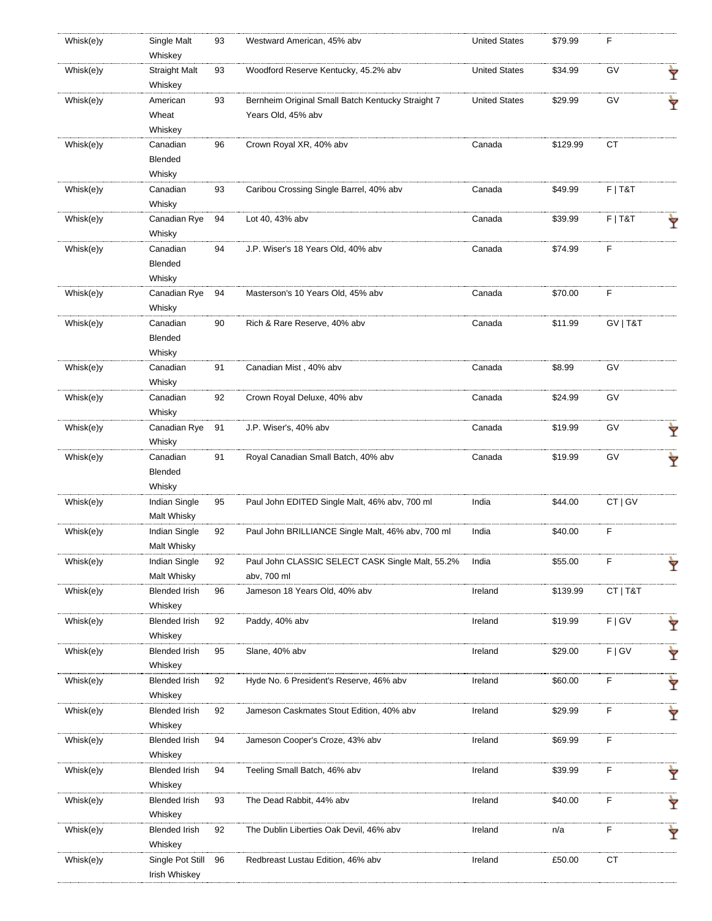| Whisk(e)y | Single Malt<br>Whiskey          | 93 | Westward American, 45% abv                        | <b>United States</b> | \$79.99  | F         |   |
|-----------|---------------------------------|----|---------------------------------------------------|----------------------|----------|-----------|---|
| Whisk(e)y | <b>Straight Malt</b><br>Whiskey | 93 | Woodford Reserve Kentucky, 45.2% abv              | <b>United States</b> | \$34.99  | GV        | Ÿ |
| Whisk(e)y | American                        | 93 | Bernheim Original Small Batch Kentucky Straight 7 | <b>United States</b> | \$29.99  | GV        | Ŷ |
|           | Wheat                           |    | Years Old, 45% abv                                |                      |          |           |   |
|           | Whiskey                         |    |                                                   |                      |          |           |   |
| Whisk(e)y | Canadian                        | 96 | Crown Royal XR, 40% abv                           | Canada               | \$129.99 | СT        |   |
|           | Blended                         |    |                                                   |                      |          |           |   |
|           | Whisky                          |    |                                                   |                      |          |           |   |
| Whisk(e)y | Canadian                        | 93 | Caribou Crossing Single Barrel, 40% abv           | Canada               | \$49.99  | $F$   T&T |   |
|           | Whisky                          |    |                                                   |                      |          |           |   |
| Whisk(e)y | Canadian Rye                    | 94 | Lot 40, 43% abv                                   | Canada               | \$39.99  | $F$   T&T |   |
|           | Whisky                          |    |                                                   |                      |          |           |   |
| Whisk(e)y | Canadian                        | 94 | J.P. Wiser's 18 Years Old, 40% abv                | Canada               | \$74.99  | F         |   |
|           | Blended                         |    |                                                   |                      |          |           |   |
|           | Whisky                          |    |                                                   |                      |          |           |   |
| Whisk(e)y | Canadian Rye                    | 94 | Masterson's 10 Years Old, 45% abv                 | Canada               | \$70.00  | F         |   |
|           | Whisky                          |    |                                                   |                      |          |           |   |
| Whisk(e)y | Canadian                        | 90 | Rich & Rare Reserve, 40% abv                      | Canada               | \$11.99  | GV   T&T  |   |
|           | Blended                         |    |                                                   |                      |          |           |   |
|           | Whisky                          |    |                                                   |                      |          |           |   |
| Whisk(e)y | Canadian                        | 91 | Canadian Mist, 40% abv                            | Canada               | \$8.99   | GV        |   |
|           | Whisky                          |    |                                                   |                      |          |           |   |
| Whisk(e)y | Canadian                        | 92 | Crown Royal Deluxe, 40% abv                       | Canada               | \$24.99  | GV        |   |
|           | Whisky                          |    |                                                   |                      |          |           |   |
| Whisk(e)y | Canadian Rye                    | 91 | J.P. Wiser's, 40% abv                             | Canada               | \$19.99  | GV        |   |
|           | Whisky                          |    |                                                   |                      |          |           | Ÿ |
| Whisk(e)y | Canadian                        | 91 | Royal Canadian Small Batch, 40% abv               | Canada               | \$19.99  | GV        |   |
|           | Blended                         |    |                                                   |                      |          |           | Ŷ |
|           | Whisky                          |    |                                                   |                      |          |           |   |
| Whisk(e)y | Indian Single                   | 95 | Paul John EDITED Single Malt, 46% abv, 700 ml     | India                | \$44.00  | CT   GV   |   |
|           | Malt Whisky                     |    |                                                   |                      |          |           |   |
| Whisk(e)y | Indian Single                   | 92 | Paul John BRILLIANCE Single Malt, 46% abv, 700 ml | India                | \$40.00  | F         |   |
|           | Malt Whisky                     |    |                                                   |                      |          |           |   |
|           |                                 |    |                                                   |                      |          |           |   |
| Whisk(e)y | Indian Single                   | 92 | Paul John CLASSIC SELECT CASK Single Malt, 55.2%  | India                | \$55.00  | F         | Ÿ |
|           | Malt Whisky                     |    | abv, 700 ml                                       |                      |          |           |   |
| Whisk(e)y | <b>Blended Irish</b>            | 96 | Jameson 18 Years Old, 40% abv                     | Ireland              | \$139.99 | CT   T&T  |   |
|           | Whiskey                         |    |                                                   |                      |          |           |   |
| Whisk(e)y | <b>Blended Irish</b>            | 92 | Paddy, 40% abv                                    | Ireland              | \$19.99  | F   G V   | Ÿ |
|           | Whiskey                         |    |                                                   |                      |          |           |   |
| Whisk(e)y | <b>Blended Irish</b>            | 95 | Slane, 40% abv                                    | Ireland              | \$29.00  | F   G V   | Ÿ |
|           | Whiskey                         |    |                                                   |                      |          |           |   |
| Whisk(e)y | <b>Blended Irish</b>            | 92 | Hyde No. 6 President's Reserve, 46% abv           | Ireland              | \$60.00  | F         | Y |
|           | Whiskey                         |    |                                                   |                      |          |           |   |
| Whisk(e)y | <b>Blended Irish</b>            | 92 | Jameson Caskmates Stout Edition, 40% abv          | Ireland              | \$29.99  | F         | Ÿ |
|           | Whiskey                         |    |                                                   |                      |          |           |   |
| Whisk(e)y | <b>Blended Irish</b>            | 94 | Jameson Cooper's Croze, 43% abv                   | Ireland              | \$69.99  | F         |   |
|           | Whiskey                         |    |                                                   |                      |          |           |   |
| Whisk(e)y | <b>Blended Irish</b>            | 94 | Teeling Small Batch, 46% abv                      | Ireland              | \$39.99  | F         | Ŷ |
|           | Whiskey                         |    |                                                   |                      |          |           |   |
| Whisk(e)y | <b>Blended Irish</b>            | 93 | The Dead Rabbit, 44% abv                          | Ireland              | \$40.00  | F         | Ÿ |
|           | Whiskey                         |    |                                                   |                      |          |           |   |
| Whisk(e)y | <b>Blended Irish</b>            | 92 | The Dublin Liberties Oak Devil, 46% abv           | Ireland              | n/a      | F         | Ŷ |
|           | Whiskey                         |    |                                                   |                      |          |           |   |
| Whisk(e)y | Single Pot Still                | 96 | Redbreast Lustau Edition, 46% abv                 | Ireland              | £50.00   | <b>CT</b> |   |
|           | Irish Whiskey                   |    |                                                   |                      |          |           |   |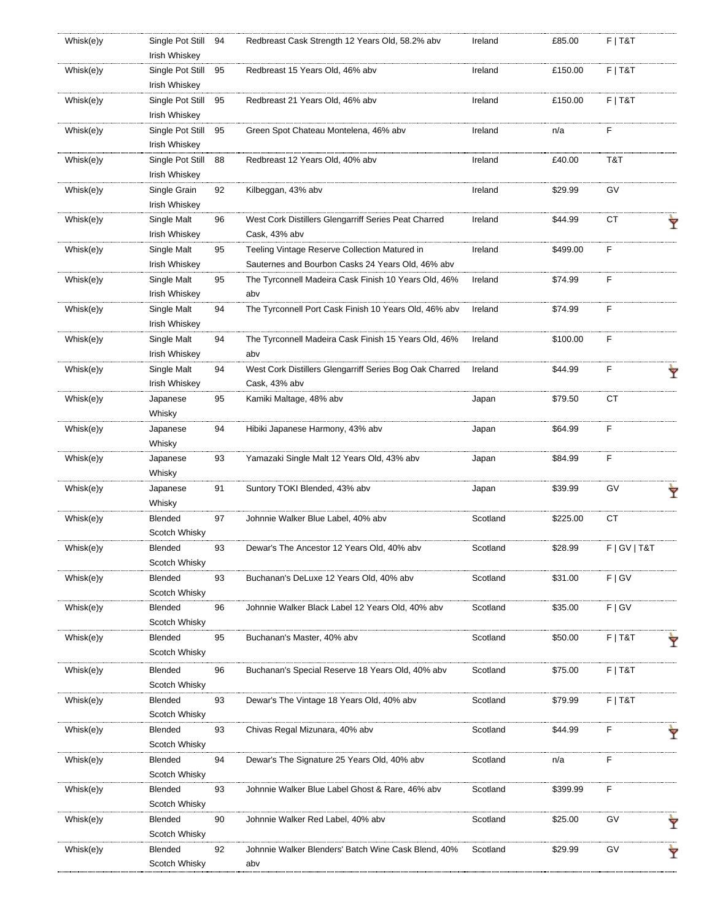| Whisk(e)y | Single Pot Still | 94 | Redbreast Cask Strength 12 Years Old, 58.2% abv         | Ireland  | £85.00   | $F$   T&T       |   |
|-----------|------------------|----|---------------------------------------------------------|----------|----------|-----------------|---|
|           | Irish Whiskey    |    |                                                         |          |          |                 |   |
| Whisk(e)y | Single Pot Still | 95 | Redbreast 15 Years Old, 46% abv                         | Ireland  | £150.00  | $F$   T&T       |   |
|           | Irish Whiskey    |    | Redbreast 21 Years Old, 46% abv                         |          | £150.00  | $F$   T&T       |   |
| Whisk(e)y | Single Pot Still | 95 |                                                         | Ireland  |          |                 |   |
|           | Irish Whiskey    |    |                                                         |          |          |                 |   |
| Whisk(e)y | Single Pot Still | 95 | Green Spot Chateau Montelena, 46% abv                   | Ireland  | n/a      | F               |   |
|           | Irish Whiskey    |    |                                                         |          |          |                 |   |
| Whisk(e)y | Single Pot Still | 88 | Redbreast 12 Years Old, 40% abv                         | Ireland  | £40.00   | T&T             |   |
|           | Irish Whiskey    |    |                                                         |          |          |                 |   |
| Whisk(e)y | Single Grain     | 92 | Kilbeggan, 43% abv                                      | Ireland  | \$29.99  | GV              |   |
|           | Irish Whiskey    |    |                                                         |          |          |                 |   |
| Whisk(e)y | Single Malt      | 96 | West Cork Distillers Glengarriff Series Peat Charred    | Ireland  | \$44.99  | <b>CT</b>       |   |
|           | Irish Whiskey    |    | Cask, 43% abv                                           |          |          |                 |   |
| Whisk(e)y | Single Malt      | 95 | Teeling Vintage Reserve Collection Matured in           | Ireland  | \$499.00 | F               |   |
|           | Irish Whiskey    |    | Sauternes and Bourbon Casks 24 Years Old, 46% abv       |          |          |                 |   |
| Whisk(e)y | Single Malt      | 95 | The Tyrconnell Madeira Cask Finish 10 Years Old, 46%    | Ireland  | \$74.99  | F               |   |
|           | Irish Whiskey    |    | abv                                                     |          |          |                 |   |
| Whisk(e)y | Single Malt      | 94 | The Tyrconnell Port Cask Finish 10 Years Old, 46% abv   | Ireland  | \$74.99  | F               |   |
|           | Irish Whiskey    |    |                                                         |          |          |                 |   |
| Whisk(e)y | Single Malt      | 94 | The Tyrconnell Madeira Cask Finish 15 Years Old, 46%    | Ireland  | \$100.00 | F               |   |
|           | Irish Whiskey    |    | abv                                                     |          |          |                 |   |
| Whisk(e)y | Single Malt      | 94 | West Cork Distillers Glengarriff Series Bog Oak Charred | Ireland  | \$44.99  | F               |   |
|           | Irish Whiskey    |    | Cask, 43% abv                                           |          |          |                 |   |
| Whisk(e)y | Japanese         | 95 | Kamiki Maltage, 48% abv                                 | Japan    | \$79.50  | <b>CT</b>       |   |
|           | Whisky           |    |                                                         |          |          |                 |   |
| Whisk(e)y | Japanese         | 94 | Hibiki Japanese Harmony, 43% abv                        | Japan    | \$64.99  | F               |   |
|           | Whisky           |    |                                                         |          |          |                 |   |
| Whisk(e)y | Japanese         | 93 | Yamazaki Single Malt 12 Years Old, 43% abv              | Japan    | \$84.99  | F               |   |
|           | Whisky           |    |                                                         |          |          |                 |   |
| Whisk(e)y | Japanese         | 91 | Suntory TOKI Blended, 43% abv                           | Japan    | \$39.99  | GV              | Ÿ |
|           | Whisky           |    |                                                         |          |          |                 |   |
| Whisk(e)y | Blended          | 97 | Johnnie Walker Blue Label, 40% abv                      | Scotland | \$225.00 | <b>CT</b>       |   |
|           | Scotch Whisky    |    |                                                         |          |          |                 |   |
| Whisk(e)y | Blended          | 93 | Dewar's The Ancestor 12 Years Old, 40% abv              | Scotland | \$28.99  | F   G V   T & T |   |
|           | Scotch Whisky    |    |                                                         |          |          |                 |   |
| Whisk(e)y | Blended          | 93 | Buchanan's DeLuxe 12 Years Old, 40% abv                 | Scotland | \$31.00  | F   G V         |   |
|           | Scotch Whisky    |    |                                                         |          |          |                 |   |
| Whisk(e)y | Blended          | 96 | Johnnie Walker Black Label 12 Years Old, 40% abv        | Scotland | \$35.00  | F   G V         |   |
|           | Scotch Whisky    |    |                                                         |          |          |                 |   |
| Whisk(e)y | Blended          | 95 | Buchanan's Master, 40% abv                              | Scotland | \$50.00  | $F$   T&T       |   |
|           | Scotch Whisky    |    |                                                         |          |          |                 |   |
|           |                  |    |                                                         |          |          |                 |   |
| Whisk(e)y | Blended          | 96 | Buchanan's Special Reserve 18 Years Old, 40% abv        | Scotland | \$75.00  | $F$   T&T       |   |
|           | Scotch Whisky    |    |                                                         |          |          |                 |   |
| Whisk(e)y | Blended          | 93 | Dewar's The Vintage 18 Years Old, 40% abv               | Scotland | \$79.99  | $F$   T&T       |   |
|           | Scotch Whisky    |    |                                                         |          |          |                 |   |
| Whisk(e)y | Blended          | 93 | Chivas Regal Mizunara, 40% abv                          | Scotland | \$44.99  | F               |   |
|           | Scotch Whisky    |    |                                                         |          |          |                 |   |
| Whisk(e)y | Blended          | 94 | Dewar's The Signature 25 Years Old, 40% abv             | Scotland | n/a      | F               |   |
|           | Scotch Whisky    |    |                                                         |          |          |                 |   |
| Whisk(e)y | Blended          | 93 | Johnnie Walker Blue Label Ghost & Rare, 46% abv         | Scotland | \$399.99 | F               |   |
|           | Scotch Whisky    |    |                                                         |          |          |                 |   |
| Whisk(e)y | Blended          | 90 | Johnnie Walker Red Label, 40% abv                       | Scotland | \$25.00  | GV              |   |
|           | Scotch Whisky    |    |                                                         |          |          |                 |   |
| Whisk(e)y | Blended          | 92 | Johnnie Walker Blenders' Batch Wine Cask Blend, 40%     | Scotland | \$29.99  | GV              |   |
|           | Scotch Whisky    |    | abv                                                     |          |          |                 |   |
|           |                  |    |                                                         |          |          |                 |   |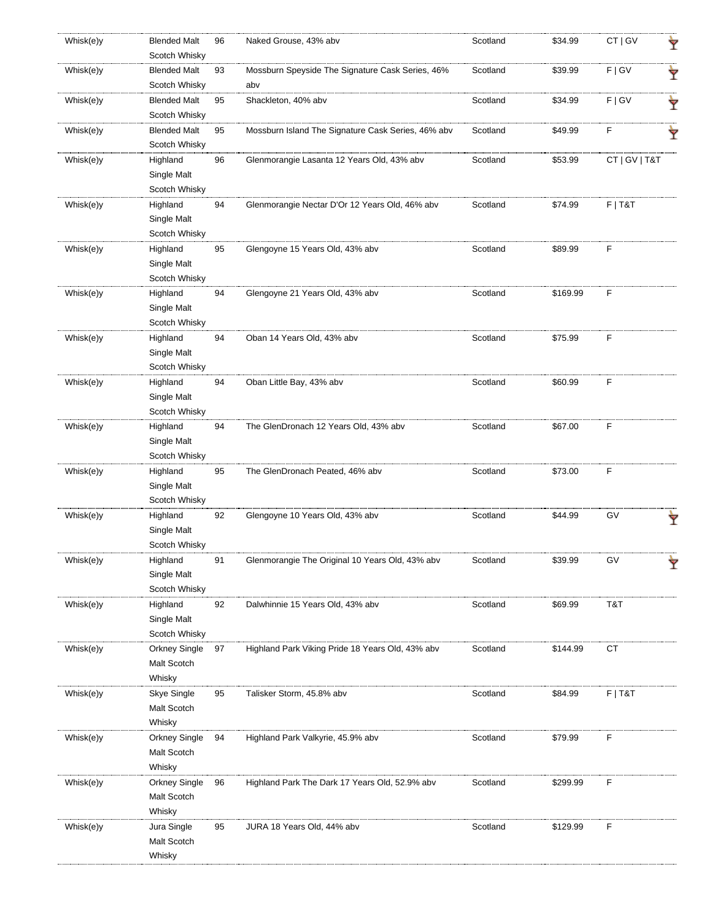| Whisk(e)y | <b>Blended Malt</b><br>Scotch Whisky     | 96 | Naked Grouse, 43% abv                                   | Scotland | \$34.99  | CT   GV       |   |
|-----------|------------------------------------------|----|---------------------------------------------------------|----------|----------|---------------|---|
| Whisk(e)y | <b>Blended Malt</b><br>Scotch Whisky     | 93 | Mossburn Speyside The Signature Cask Series, 46%<br>abv | Scotland | \$39.99  | F   G V       | Ÿ |
| Whisk(e)y | <b>Blended Malt</b><br>Scotch Whisky     | 95 | Shackleton, 40% abv                                     | Scotland | \$34.99  | F   G V       | Ÿ |
| Whisk(e)y | <b>Blended Malt</b><br>Scotch Whisky     | 95 | Mossburn Island The Signature Cask Series, 46% abv      | Scotland | \$49.99  | F             | Y |
| Whisk(e)y | Highland<br>Single Malt<br>Scotch Whisky | 96 | Glenmorangie Lasanta 12 Years Old, 43% abv              | Scotland | \$53.99  | CT   GV   T&T |   |
| Whisk(e)y | Highland<br>Single Malt<br>Scotch Whisky | 94 | Glenmorangie Nectar D'Or 12 Years Old, 46% abv          | Scotland | \$74.99  | $F$   T&T     |   |
| Whisk(e)y | Highland<br>Single Malt<br>Scotch Whisky | 95 | Glengoyne 15 Years Old, 43% abv                         | Scotland | \$89.99  | F             |   |
| Whisk(e)y | Highland<br>Single Malt<br>Scotch Whisky | 94 | Glengoyne 21 Years Old, 43% abv                         | Scotland | \$169.99 | F             |   |
| Whisk(e)y | Highland<br>Single Malt<br>Scotch Whisky | 94 | Oban 14 Years Old, 43% abv                              | Scotland | \$75.99  | F             |   |
| Whisk(e)y | Highland<br>Single Malt<br>Scotch Whisky | 94 | Oban Little Bay, 43% abv                                | Scotland | \$60.99  | F             |   |
| Whisk(e)y | Highland<br>Single Malt<br>Scotch Whisky | 94 | The GlenDronach 12 Years Old, 43% abv                   | Scotland | \$67.00  | F             |   |
| Whisk(e)y | Highland<br>Single Malt<br>Scotch Whisky | 95 | The GlenDronach Peated, 46% abv                         | Scotland | \$73.00  | F             |   |
| Whisk(e)y | Highland<br>Single Malt<br>Scotch Whisky | 92 | Glengoyne 10 Years Old, 43% abv                         | Scotland | \$44.99  | GV            |   |
| Whisk(e)y | Highland<br>Single Malt<br>Scotch Whisky | 91 | Glenmorangie The Original 10 Years Old, 43% abv         | Scotland | \$39.99  | GV            |   |
| Whisk(e)y | Highland<br>Single Malt<br>Scotch Whisky | 92 | Dalwhinnie 15 Years Old, 43% abv                        | Scotland | \$69.99  | T&T           |   |
| Whisk(e)y | Orkney Single<br>Malt Scotch<br>Whisky   | 97 | Highland Park Viking Pride 18 Years Old, 43% abv        | Scotland | \$144.99 | <b>CT</b>     |   |
| Whisk(e)y | Skye Single<br>Malt Scotch<br>Whisky     | 95 | Talisker Storm, 45.8% abv                               | Scotland | \$84.99  | $F$   T&T     |   |
| Whisk(e)y | Orkney Single<br>Malt Scotch<br>Whisky   | 94 | Highland Park Valkyrie, 45.9% abv                       | Scotland | \$79.99  | F             |   |
| Whisk(e)y | Orkney Single<br>Malt Scotch<br>Whisky   | 96 | Highland Park The Dark 17 Years Old, 52.9% abv          | Scotland | \$299.99 | F             |   |
| Whisk(e)y | Jura Single<br>Malt Scotch<br>Whisky     | 95 | JURA 18 Years Old, 44% abv                              | Scotland | \$129.99 | F             |   |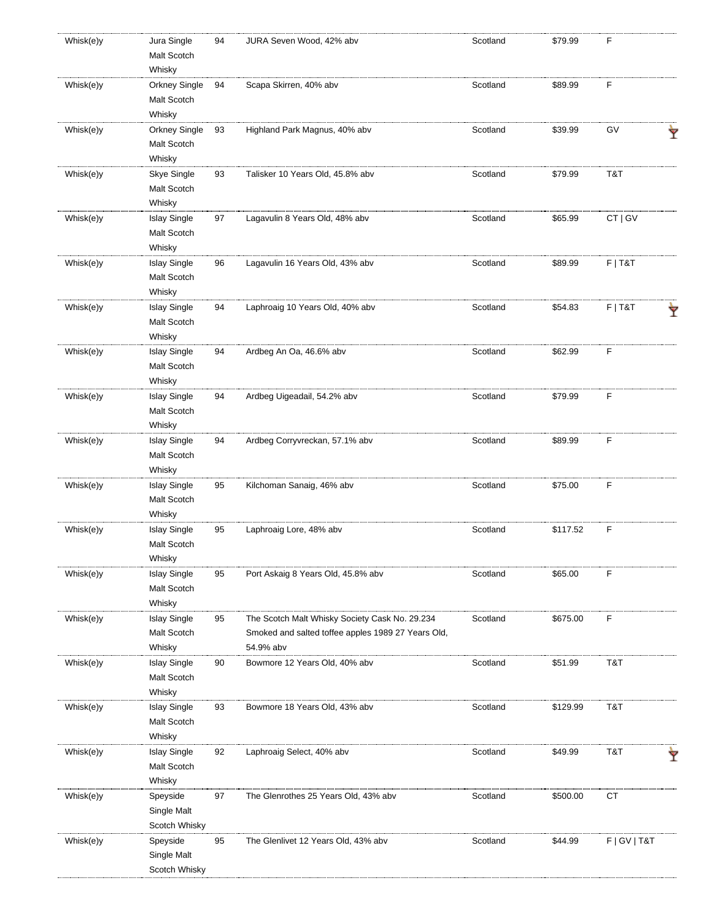| Whisk(e)y | Jura Single<br>Malt Scotch | 94 | JURA Seven Wood, 42% abv                           | Scotland | \$79.99  | F               |   |
|-----------|----------------------------|----|----------------------------------------------------|----------|----------|-----------------|---|
|           | Whisky                     |    |                                                    |          |          |                 |   |
| Whisk(e)y | <b>Orkney Single</b>       | 94 | Scapa Skirren, 40% abv                             | Scotland | \$89.99  | F               |   |
|           | Malt Scotch                |    |                                                    |          |          |                 |   |
|           | Whisky                     |    |                                                    |          |          |                 |   |
| Whisk(e)y | <b>Orkney Single</b>       | 93 | Highland Park Magnus, 40% abv                      | Scotland | \$39.99  | GV              |   |
|           |                            |    |                                                    |          |          |                 |   |
|           | Malt Scotch                |    |                                                    |          |          |                 |   |
|           | Whisky                     |    |                                                    |          |          |                 |   |
| Whisk(e)y | Skye Single                | 93 | Talisker 10 Years Old, 45.8% abv                   | Scotland | \$79.99  | T&T             |   |
|           | Malt Scotch                |    |                                                    |          |          |                 |   |
|           | Whisky                     |    |                                                    |          |          |                 |   |
| Whisk(e)y | <b>Islay Single</b>        | 97 | Lagavulin 8 Years Old, 48% abv                     | Scotland | \$65.99  | CT   GV         |   |
|           | Malt Scotch                |    |                                                    |          |          |                 |   |
|           | Whisky                     |    |                                                    |          |          |                 |   |
| Whisk(e)y | <b>Islay Single</b>        | 96 | Lagavulin 16 Years Old, 43% abv                    | Scotland | \$89.99  | $F$   T&T       |   |
|           | Malt Scotch                |    |                                                    |          |          |                 |   |
|           |                            |    |                                                    |          |          |                 |   |
|           | Whisky                     |    |                                                    |          |          |                 |   |
| Whisk(e)y | <b>Islay Single</b>        | 94 | Laphroaig 10 Years Old, 40% abv                    | Scotland | \$54.83  | $F$   T&T       |   |
|           | Malt Scotch                |    |                                                    |          |          |                 |   |
|           | Whisky                     |    |                                                    |          |          |                 |   |
| Whisk(e)y | <b>Islay Single</b>        | 94 | Ardbeg An Oa, 46.6% abv                            | Scotland | \$62.99  | F               |   |
|           | Malt Scotch                |    |                                                    |          |          |                 |   |
|           | Whisky                     |    |                                                    |          |          |                 |   |
| Whisk(e)y | <b>Islay Single</b>        | 94 | Ardbeg Uigeadail, 54.2% abv                        | Scotland | \$79.99  | F               |   |
|           |                            |    |                                                    |          |          |                 |   |
|           | Malt Scotch                |    |                                                    |          |          |                 |   |
|           | Whisky                     |    |                                                    |          |          |                 |   |
| Whisk(e)y | <b>Islay Single</b>        | 94 | Ardbeg Corryvreckan, 57.1% abv                     | Scotland | \$89.99  | F               |   |
|           | Malt Scotch                |    |                                                    |          |          |                 |   |
|           | Whisky                     |    |                                                    |          |          |                 |   |
| Whisk(e)y | <b>Islay Single</b>        | 95 | Kilchoman Sanaig, 46% abv                          | Scotland | \$75.00  | F               |   |
|           | Malt Scotch                |    |                                                    |          |          |                 |   |
|           | Whisky                     |    |                                                    |          |          |                 |   |
|           | <b>Islay Single</b>        |    |                                                    | Scotland | \$117.52 | F               |   |
| Whisk(e)y |                            | 95 | Laphroaig Lore, 48% abv                            |          |          |                 |   |
|           | Malt Scotch                |    |                                                    |          |          |                 |   |
|           | Whisky                     |    |                                                    |          |          |                 |   |
| Whisk(e)y | <b>Islay Single</b>        | 95 | Port Askaig 8 Years Old, 45.8% abv                 | Scotland | \$65.00  | F               |   |
|           | Malt Scotch                |    |                                                    |          |          |                 |   |
|           | Whisky                     |    |                                                    |          |          |                 |   |
| Whisk(e)y | <b>Islay Single</b>        | 95 | The Scotch Malt Whisky Society Cask No. 29.234     | Scotland | \$675.00 | F               |   |
|           | Malt Scotch                |    | Smoked and salted toffee apples 1989 27 Years Old, |          |          |                 |   |
|           | Whisky                     |    | 54.9% abv                                          |          |          |                 |   |
|           |                            |    |                                                    |          |          |                 |   |
| Whisk(e)y | <b>Islay Single</b>        | 90 | Bowmore 12 Years Old, 40% abv                      | Scotland | \$51.99  | T&T             |   |
|           | Malt Scotch                |    |                                                    |          |          |                 |   |
|           | Whisky                     |    |                                                    |          |          |                 |   |
| Whisk(e)y | <b>Islay Single</b>        | 93 | Bowmore 18 Years Old, 43% abv                      | Scotland | \$129.99 | T&T             |   |
|           | Malt Scotch                |    |                                                    |          |          |                 |   |
|           | Whisky                     |    |                                                    |          |          |                 |   |
| Whisk(e)y | <b>Islay Single</b>        | 92 | Laphroaig Select, 40% abv                          | Scotland | \$49.99  | T&T             |   |
|           | Malt Scotch                |    |                                                    |          |          |                 | Y |
|           | Whisky                     |    |                                                    |          |          |                 |   |
|           |                            |    |                                                    |          |          |                 |   |
| Whisk(e)y | Speyside                   | 97 | The Glenrothes 25 Years Old, 43% abv               | Scotland | \$500.00 | СT              |   |
|           | Single Malt                |    |                                                    |          |          |                 |   |
|           | Scotch Whisky              |    |                                                    |          |          |                 |   |
| Whisk(e)y | Speyside                   | 95 | The Glenlivet 12 Years Old, 43% abv                | Scotland | \$44.99  | F   G V   T & T |   |
|           | Single Malt                |    |                                                    |          |          |                 |   |
|           | Scotch Whisky              |    |                                                    |          |          |                 |   |
|           |                            |    |                                                    |          |          |                 |   |